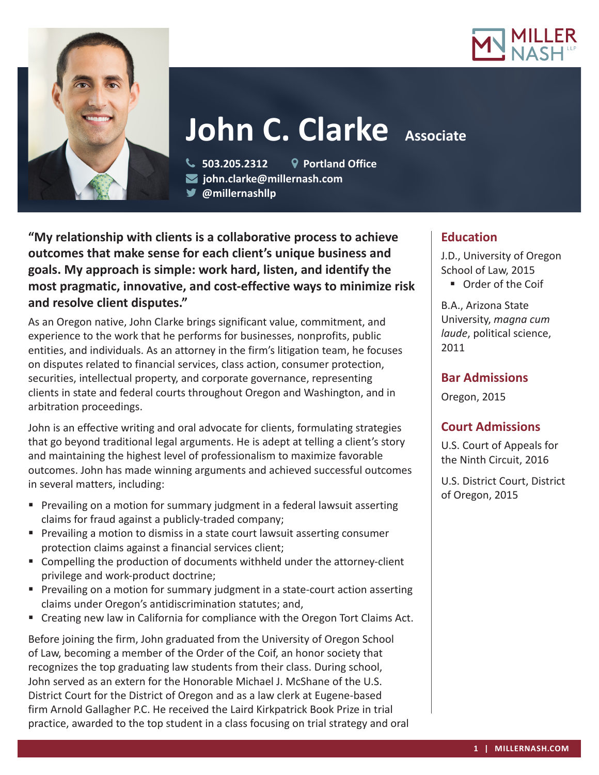



# **John C. Clarke** Associate

 **503.205.2312 Portland Office john.clarke@millernash.com** 

**@millernashllp** 

**"My relationship with clients is a collaborative process to achieve outcomes that make sense for each client's unique business and goals. My approach is simple: work hard, listen, and identify the most pragmatic, innovative, and cost-effective ways to minimize risk and resolve client disputes."**

As an Oregon native, John Clarke brings significant value, commitment, and experience to the work that he performs for businesses, nonprofits, public entities, and individuals. As an attorney in the firm's litigation team, he focuses on disputes related to financial services, class action, consumer protection, securities, intellectual property, and corporate governance, representing clients in state and federal courts throughout Oregon and Washington, and in arbitration proceedings.

John is an effective writing and oral advocate for clients, formulating strategies that go beyond traditional legal arguments. He is adept at telling a client's story and maintaining the highest level of professionalism to maximize favorable outcomes. John has made winning arguments and achieved successful outcomes in several matters, including:

- Prevailing on a motion for summary judgment in a federal lawsuit asserting claims for fraud against a publicly-traded company;
- **Prevailing a motion to dismiss in a state court lawsuit asserting consumer** protection claims against a financial services client;
- Compelling the production of documents withheld under the attorney-client privilege and work-product doctrine;
- **Prevailing on a motion for summary judgment in a state-court action asserting** claims under Oregon's antidiscrimination statutes; and,
- Creating new law in California for compliance with the Oregon Tort Claims Act.

Before joining the firm, John graduated from the University of Oregon School of Law, becoming a member of the Order of the Coif, an honor society that recognizes the top graduating law students from their class. During school, John served as an extern for the Honorable Michael J. McShane of the U.S. District Court for the District of Oregon and as a law clerk at Eugene-based firm Arnold Gallagher P.C. He received the Laird Kirkpatrick Book Prize in trial practice, awarded to the top student in a class focusing on trial strategy and oral

# **Education**

J.D., University of Oregon School of Law, 2015 **Drder of the Coif** 

B.A., Arizona State

University, *magna cum laude*, political science, 2011

## **Bar Admissions**

Oregon, 2015

# **Court Admissions**

U.S. Court of Appeals for the Ninth Circuit, 2016

U.S. District Court, District of Oregon, 2015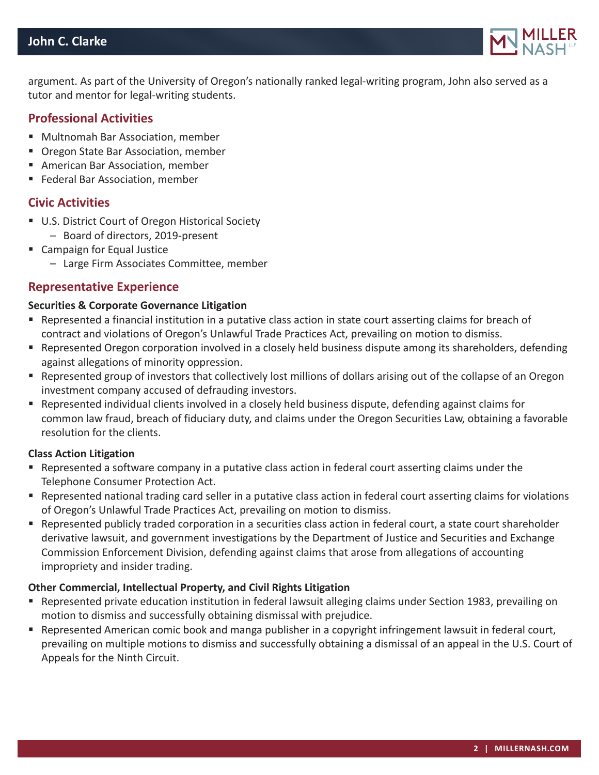

argument. As part of the University of Oregon's nationally ranked legal-writing program, John also served as a tutor and mentor for legal-writing students.

## **Professional Activities**

- Multnomah Bar Association, member
- **Dregon State Bar Association, member**
- American Bar Association, member
- Federal Bar Association, member

#### **Civic Activities**

- U.S. District Court of Oregon Historical Society
	- Board of directors, 2019-present
- Campaign for Equal Justice
	- Large Firm Associates Committee, member

#### **Representative Experience**

#### **Securities & Corporate Governance Litigation**

- Represented a financial institution in a putative class action in state court asserting claims for breach of contract and violations of Oregon's Unlawful Trade Practices Act, prevailing on motion to dismiss.
- Represented Oregon corporation involved in a closely held business dispute among its shareholders, defending against allegations of minority oppression.
- Represented group of investors that collectively lost millions of dollars arising out of the collapse of an Oregon investment company accused of defrauding investors.
- Represented individual clients involved in a closely held business dispute, defending against claims for common law fraud, breach of fiduciary duty, and claims under the Oregon Securities Law, obtaining a favorable resolution for the clients.

#### **Class Action Litigation**

- Represented a software company in a putative class action in federal court asserting claims under the Telephone Consumer Protection Act.
- Represented national trading card seller in a putative class action in federal court asserting claims for violations of Oregon's Unlawful Trade Practices Act, prevailing on motion to dismiss.
- Represented publicly traded corporation in a securities class action in federal court, a state court shareholder derivative lawsuit, and government investigations by the Department of Justice and Securities and Exchange Commission Enforcement Division, defending against claims that arose from allegations of accounting impropriety and insider trading.

#### **Other Commercial, Intellectual Property, and Civil Rights Litigation**

- Represented private education institution in federal lawsuit alleging claims under Section 1983, prevailing on motion to dismiss and successfully obtaining dismissal with prejudice.
- Represented American comic book and manga publisher in a copyright infringement lawsuit in federal court, prevailing on multiple motions to dismiss and successfully obtaining a dismissal of an appeal in the U.S. Court of Appeals for the Ninth Circuit.